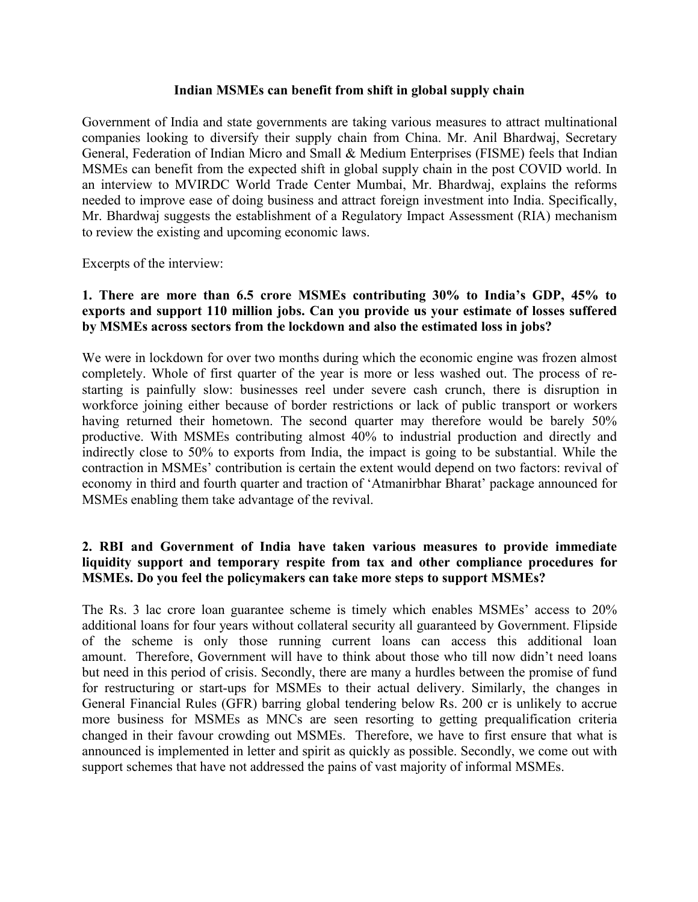#### **Indian MSMEs can benefit from shift in global supply chain**

Government of India and state governments are taking various measures to attract multinational companies looking to diversify their supply chain from China. Mr. Anil Bhardwaj, Secretary General, Federation of Indian Micro and Small & Medium Enterprises (FISME) feels that Indian MSMEs can benefit from the expected shift in global supply chain in the post COVID world. In an interview to MVIRDC World Trade Center Mumbai, Mr. Bhardwaj, explains the reforms needed to improve ease of doing business and attract foreign investment into India. Specifically, Mr. Bhardwaj suggests the establishment of a Regulatory Impact Assessment (RIA) mechanism to review the existing and upcoming economic laws.

Excerpts of the interview:

# **1. There are more than 6.5 crore MSMEs contributing 30% to India's GDP, 45% to exports and support 110 million jobs. Can you provide us your estimate of losses suffered by MSMEs across sectors from the lockdown and also the estimated loss in jobs?**

We were in lockdown for over two months during which the economic engine was frozen almost completely. Whole of first quarter of the year is more or less washed out. The process of re starting is painfully slow: businesses reel under severe cash crunch, there is disruption in workforce joining either because of border restrictions or lack of public transport or workers having returned their hometown. The second quarter may therefore would be barely 50% productive. With MSMEs contributing almost 40% to industrial production and directly and indirectly close to 50% to exports from India, the impact is going to be substantial. While the contraction in MSMEs' contribution is certain the extent would depend on two factors: revival of economy in third and fourth quarter and traction of 'Atmanirbhar Bharat' package announced for MSMEs enabling them take advantage of the revival.

## **2. RBI and Government of India have taken various measures to provide immediate liquidity support and temporary respite from tax and other compliance procedures for MSMEs. Do you feel the policymakers can take more steps to support MSMEs?**

The Rs. 3 lac crore loan guarantee scheme is timely which enables MSMEs' access to 20% additional loans for four years without collateral security all guaranteed by Government. Flipside of the scheme is only those running current loans can access this additional loan amount. Therefore, Government will have to think about those who till now didn't need loans but need in this period of crisis. Secondly, there are many a hurdles between the promise of fund for restructuring or start-ups for MSMEs to their actual delivery. Similarly, the changes in General Financial Rules (GFR) barring global tendering below Rs. 200 cr is unlikely to accrue more business for MSMEs as MNCs are seen resorting to getting prequalification criteria changed in their favour crowding out MSMEs. Therefore, we have to first ensure that what is announced is implemented in letter and spirit as quickly as possible. Secondly, we come out with support schemes that have not addressed the pains of vast majority of informal MSMEs.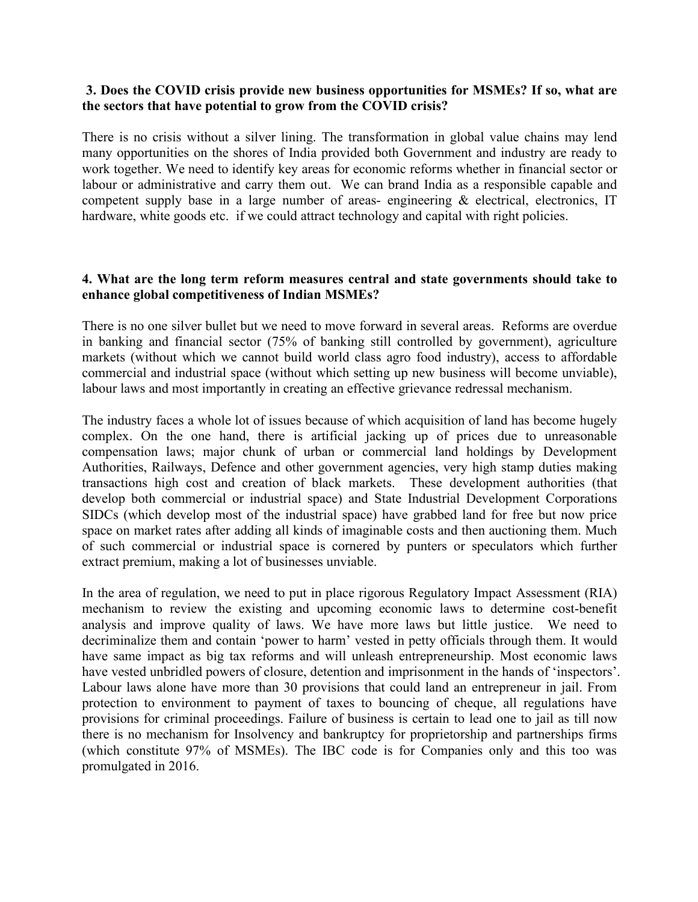#### **3. Does the COVID crisis provide new business opportunities for MSMEs? If so, what are the sectors that have potential to grow from the COVID crisis?**

There is no crisis without a silver lining. The transformation in global value chains may lend many opportunities on the shores of India provided both Government and industry are ready to work together. We need to identify key areas for economic reforms whether in financial sector or labour or administrative and carry them out. We can brand India as a responsible capable and competent supply base in a large number of areas- engineering & electrical, electronics, IT hardware, white goods etc. if we could attract technology and capital with right policies.

#### **4. What are the long term reform measures central and state governments should take to enhance** global competitiveness of Indian MSMEs?

There is no one silver bullet but we need to move forward in several areas. Reforms are overdue in banking and financial sector (75% of banking still controlled by government), agriculture markets (without which we cannot build world class agro food industry), access to affordable commercial and industrial space (without which setting up new business will become unviable), labour laws and most importantly in creating an effective grievance redressal mechanism.

The industry faces a whole lot of issues because of which acquisition of land has become hugely complex. On the one hand, there is artificial jacking up of prices due to unreasonable compensation laws; major chunk of urban or commercial land holdings by Development Authorities, Railways, Defence and other government agencies, very high stamp duties making transactions high cost and creation of black markets. These development authorities (that develop both commercial or industrial space) and State Industrial Development Corporations SIDCs (which develop most of the industrial space) have grabbed land for free but now price space on market rates after adding all kinds of imaginable costs and then auctioning them. Much of such commercial or industrial space is cornered by punters or speculators which further extract premium, making a lot of businesses unviable.

In the area of regulation, we need to put in place rigorous Regulatory Impact Assessment (RIA) mechanism to review the existing and upcoming economic laws to determine cost-benefit analysis and improve quality of laws. We have more laws but little justice. We need to decriminalize them and contain 'power to harm' vested in petty officials through them. It would have same impact as big tax reforms and will unleash entrepreneurship. Most economic laws have vested unbridled powers of closure, detention and imprisonment in the hands of 'inspectors'. Labour laws alone have more than 30 provisions that could land an entrepreneur in jail. From protection to environment to payment of taxes to bouncing of cheque, all regulations have provisions for criminal proceedings. Failure of business is certain to lead one to jail as till now there is no mechanism for Insolvency and bankruptcy for proprietorship and partnerships firms (which constitute 97% of MSMEs). The IBC code is for Companies only and this too was promulgated in 2016.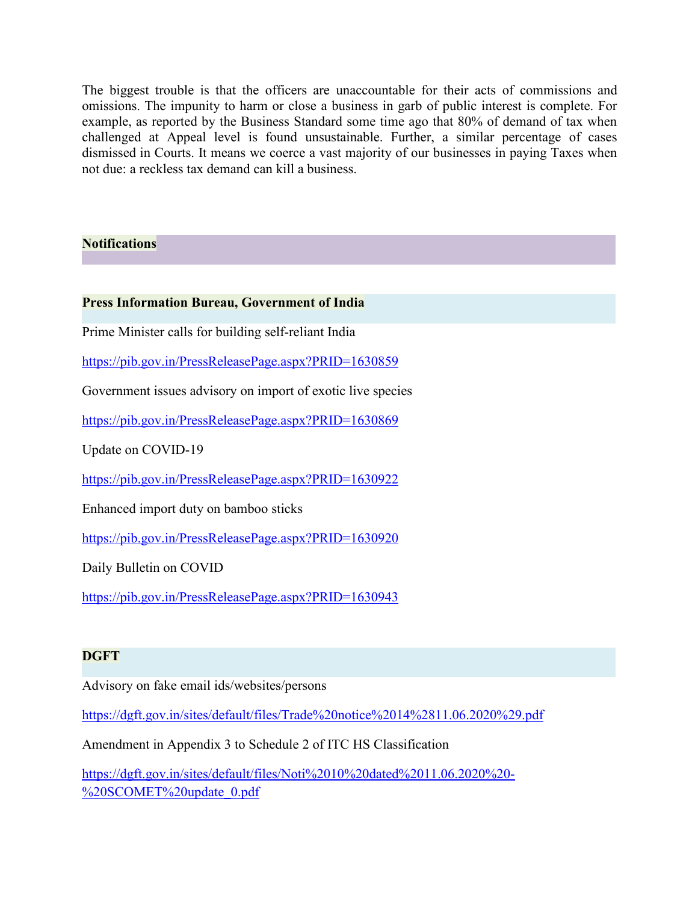The biggest trouble is that the officers are unaccountable for their acts of commissions and omissions. The impunity to harm or close a business in garb of public interest is complete. For example, as reported by the Business Standard some time ago that 80% of demand of tax when challenged at Appeal level is found unsustainable. Further, a similar percentage of cases dismissed in Courts. It means we coerce a vast majority of our businesses in paying Taxes when not due: a reckless tax demand can kill a business.

# **Notifications**

#### **Press Information Bureau, Government of India**

Prime Minister calls for building self-reliant India

<https://pib.gov.in/PressReleasePage.aspx?PRID=1630859>

Government issues advisory on import of exotic live species

<https://pib.gov.in/PressReleasePage.aspx?PRID=1630869>

Update on COVID-19

<https://pib.gov.in/PressReleasePage.aspx?PRID=1630922>

Enhanced import duty on bamboo sticks

<https://pib.gov.in/PressReleasePage.aspx?PRID=1630920>

Daily Bulletin on COVID

<https://pib.gov.in/PressReleasePage.aspx?PRID=1630943>

## **DGFT**

Advisory on fake email ids/websites/persons

<https://dgft.gov.in/sites/default/files/Trade%20notice%2014%2811.06.2020%29.pdf>

Amendment in Appendix 3 to Schedule 2 of ITC HS Classification

[https://dgft.gov.in/sites/default/files/Noti%2010%20dated%2011.06.2020%20-](https://dgft.gov.in/sites/default/files/Noti%2010%20dated%2011.06.2020%20-%20SCOMET%20update_0.pdf) %20SCOMET%20update\_0.pdf